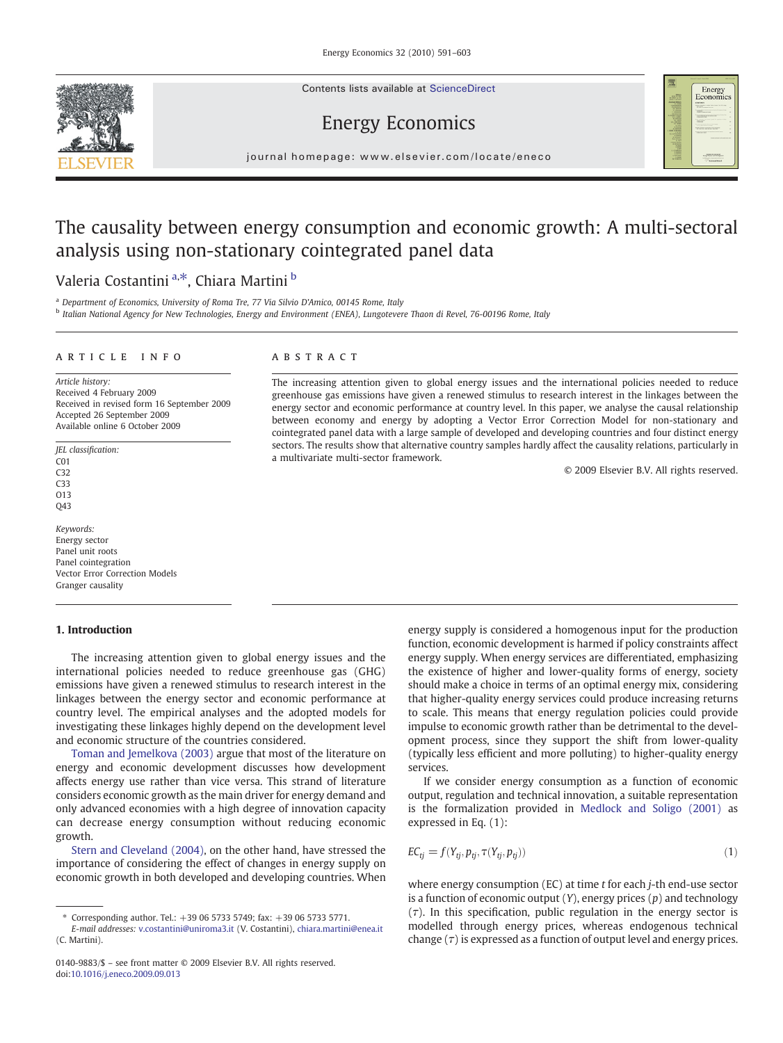Contents lists available at ScienceDirect

# Energy Economics

journal homepage: www.elsevier.com/locate/eneco

# The causality between energy consumption and economic growth: A multi-sectoral analysis using non-stationary cointegrated panel data

## Valeria Costantini <sup>a,\*</sup>, Chiara Martini <sup>b</sup>

<sup>a</sup> Department of Economics, University of Roma Tre, 77 Via Silvio D'Amico, 00145 Rome, Italy

<sup>b</sup> Italian National Agency for New Technologies, Energy and Environment (ENEA), Lungotevere Thaon di Revel, 76-00196 Rome, Italy

#### article info abstract

Article history: Received 4 February 2009 Received in revised form 16 September 2009 Accepted 26 September 2009 Available online 6 October 2009

JEL classification: C01 C32 C33 O13 Q43

Keywords: Energy sector Panel unit roots Panel cointegration Vector Error Correction Models Granger causality

#### 1. Introduction

### The increasing attention given to global energy issues and the international policies needed to reduce greenhouse gas (GHG) emissions have given a renewed stimulus to research interest in the linkages between the energy sector and economic performance at country level. The empirical analyses and the adopted models for investigating these linkages highly depend on the development level and economic structure of the countries considered.

[Toman and Jemelkova \(2003\)](#page--1-0) argue that most of the literature on energy and economic development discusses how development affects energy use rather than vice versa. This strand of literature considers economic growth as the main driver for energy demand and only advanced economies with a high degree of innovation capacity can decrease energy consumption without reducing economic growth.

[Stern and Cleveland \(2004\)](#page--1-0), on the other hand, have stressed the importance of considering the effect of changes in energy supply on economic growth in both developed and developing countries. When

The increasing attention given to global energy issues and the international policies needed to reduce greenhouse gas emissions have given a renewed stimulus to research interest in the linkages between the energy sector and economic performance at country level. In this paper, we analyse the causal relationship between economy and energy by adopting a Vector Error Correction Model for non-stationary and cointegrated panel data with a large sample of developed and developing countries and four distinct energy sectors. The results show that alternative country samples hardly affect the causality relations, particularly in a multivariate multi-sector framework.

© 2009 Elsevier B.V. All rights reserved.

Energy<br>Economics

energy supply is considered a homogenous input for the production function, economic development is harmed if policy constraints affect energy supply. When energy services are differentiated, emphasizing the existence of higher and lower-quality forms of energy, society should make a choice in terms of an optimal energy mix, considering that higher-quality energy services could produce increasing returns to scale. This means that energy regulation policies could provide impulse to economic growth rather than be detrimental to the development process, since they support the shift from lower-quality (typically less efficient and more polluting) to higher-quality energy services.

If we consider energy consumption as a function of economic output, regulation and technical innovation, a suitable representation is the formalization provided in [Medlock and Soligo \(2001\)](#page--1-0) as expressed in Eq. (1):

$$
EC_{tj} = f(Y_{tj}, p_{tj}, \tau(Y_{tj}, p_{tj}))
$$
\n<sup>(1)</sup>

where energy consumption (EC) at time  $t$  for each  $j$ -th end-use sector is a function of economic output  $(Y)$ , energy prices  $(p)$  and technology  $(\tau)$ . In this specification, public regulation in the energy sector is modelled through energy prices, whereas endogenous technical change  $(\tau)$  is expressed as a function of output level and energy prices.



<sup>⁎</sup> Corresponding author. Tel.: +39 06 5733 5749; fax: +39 06 5733 5771.

E-mail addresses: [v.costantini@uniroma3.it](mailto:v.costantini@uniroma3.it) (V. Costantini), [chiara.martini@enea.it](mailto:chiara.martini@enea.it) (C. Martini).

<sup>0140-9883/\$</sup> – see front matter © 2009 Elsevier B.V. All rights reserved. doi:[10.1016/j.eneco.2009.09.013](http://dx.doi.org/10.1016/j.eneco.2009.09.013)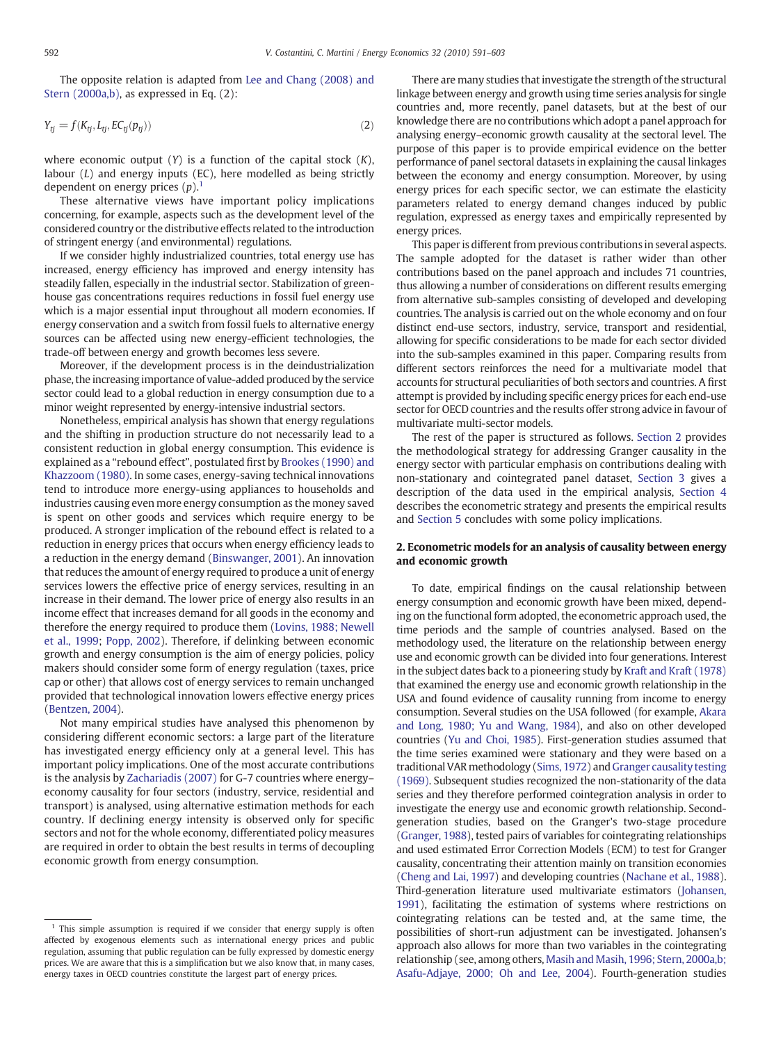The opposite relation is adapted from [Lee and Chang \(2008\) and](#page--1-0) [Stern \(2000a,b\),](#page--1-0) as expressed in Eq. (2):

$$
Y_{tj} = f(K_{tj}, L_{tj}, EC_{tj}(p_{tj}))
$$
\n
$$
(2)
$$

where economic output  $(Y)$  is a function of the capital stock  $(K)$ , labour (L) and energy inputs (EC), here modelled as being strictly dependent on energy prices  $(p)$ .<sup>1</sup>

These alternative views have important policy implications concerning, for example, aspects such as the development level of the considered country or the distributive effects related to the introduction of stringent energy (and environmental) regulations.

If we consider highly industrialized countries, total energy use has increased, energy efficiency has improved and energy intensity has steadily fallen, especially in the industrial sector. Stabilization of greenhouse gas concentrations requires reductions in fossil fuel energy use which is a major essential input throughout all modern economies. If energy conservation and a switch from fossil fuels to alternative energy sources can be affected using new energy-efficient technologies, the trade-off between energy and growth becomes less severe.

Moreover, if the development process is in the deindustrialization phase, the increasing importance of value-added produced by the service sector could lead to a global reduction in energy consumption due to a minor weight represented by energy-intensive industrial sectors.

Nonetheless, empirical analysis has shown that energy regulations and the shifting in production structure do not necessarily lead to a consistent reduction in global energy consumption. This evidence is explained as a "rebound effect", postulated first by [Brookes \(1990\) and](#page--1-0) [Khazzoom \(1980\).](#page--1-0) In some cases, energy-saving technical innovations tend to introduce more energy-using appliances to households and industries causing even more energy consumption as the money saved is spent on other goods and services which require energy to be produced. A stronger implication of the rebound effect is related to a reduction in energy prices that occurs when energy efficiency leads to a reduction in the energy demand ([Binswanger, 2001](#page--1-0)). An innovation that reduces the amount of energy required to produce a unit of energy services lowers the effective price of energy services, resulting in an increase in their demand. The lower price of energy also results in an income effect that increases demand for all goods in the economy and therefore the energy required to produce them [\(Lovins, 1988; Newell](#page--1-0) [et al., 1999](#page--1-0); [Popp, 2002](#page--1-0)). Therefore, if delinking between economic growth and energy consumption is the aim of energy policies, policy makers should consider some form of energy regulation (taxes, price cap or other) that allows cost of energy services to remain unchanged provided that technological innovation lowers effective energy prices [\(Bentzen, 2004\)](#page--1-0).

Not many empirical studies have analysed this phenomenon by considering different economic sectors: a large part of the literature has investigated energy efficiency only at a general level. This has important policy implications. One of the most accurate contributions is the analysis by [Zachariadis \(2007\)](#page--1-0) for G-7 countries where energy– economy causality for four sectors (industry, service, residential and transport) is analysed, using alternative estimation methods for each country. If declining energy intensity is observed only for specific sectors and not for the whole economy, differentiated policy measures are required in order to obtain the best results in terms of decoupling economic growth from energy consumption.

There are many studies that investigate the strength of the structural linkage between energy and growth using time series analysis for single countries and, more recently, panel datasets, but at the best of our knowledge there are no contributions which adopt a panel approach for analysing energy–economic growth causality at the sectoral level. The purpose of this paper is to provide empirical evidence on the better performance of panel sectoral datasets in explaining the causal linkages between the economy and energy consumption. Moreover, by using energy prices for each specific sector, we can estimate the elasticity parameters related to energy demand changes induced by public regulation, expressed as energy taxes and empirically represented by energy prices.

This paper is different from previous contributions in several aspects. The sample adopted for the dataset is rather wider than other contributions based on the panel approach and includes 71 countries, thus allowing a number of considerations on different results emerging from alternative sub-samples consisting of developed and developing countries. The analysis is carried out on the whole economy and on four distinct end-use sectors, industry, service, transport and residential, allowing for specific considerations to be made for each sector divided into the sub-samples examined in this paper. Comparing results from different sectors reinforces the need for a multivariate model that accounts for structural peculiarities of both sectors and countries. A first attempt is provided by including specific energy prices for each end-use sector for OECD countries and the results offer strong advice in favour of multivariate multi-sector models.

The rest of the paper is structured as follows. Section 2 provides the methodological strategy for addressing Granger causality in the energy sector with particular emphasis on contributions dealing with non-stationary and cointegrated panel dataset, [Section 3](#page--1-0) gives a description of the data used in the empirical analysis, [Section 4](#page--1-0) describes the econometric strategy and presents the empirical results and [Section 5](#page--1-0) concludes with some policy implications.

#### 2. Econometric models for an analysis of causality between energy and economic growth

To date, empirical findings on the causal relationship between energy consumption and economic growth have been mixed, depending on the functional form adopted, the econometric approach used, the time periods and the sample of countries analysed. Based on the methodology used, the literature on the relationship between energy use and economic growth can be divided into four generations. Interest in the subject dates back to a pioneering study by [Kraft and Kraft \(1978\)](#page--1-0) that examined the energy use and economic growth relationship in the USA and found evidence of causality running from income to energy consumption. Several studies on the USA followed (for example, [Akara](#page--1-0) [and Long, 1980; Yu and Wang, 1984](#page--1-0)), and also on other developed countries [\(Yu and Choi, 1985](#page--1-0)). First-generation studies assumed that the time series examined were stationary and they were based on a traditional VAR methodology ([Sims, 1972\)](#page--1-0) and [Granger causality testing](#page--1-0) [\(1969\)](#page--1-0). Subsequent studies recognized the non-stationarity of the data series and they therefore performed cointegration analysis in order to investigate the energy use and economic growth relationship. Secondgeneration studies, based on the Granger's two-stage procedure [\(Granger, 1988](#page--1-0)), tested pairs of variables for cointegrating relationships and used estimated Error Correction Models (ECM) to test for Granger causality, concentrating their attention mainly on transition economies [\(Cheng and Lai, 1997](#page--1-0)) and developing countries ([Nachane et al., 1988\)](#page--1-0). Third-generation literature used multivariate estimators ([Johansen,](#page--1-0) [1991\)](#page--1-0), facilitating the estimation of systems where restrictions on cointegrating relations can be tested and, at the same time, the possibilities of short-run adjustment can be investigated. Johansen's approach also allows for more than two variables in the cointegrating relationship (see, among others, [Masih and Masih, 1996; Stern, 2000a,b;](#page--1-0) [Asafu-Adjaye, 2000; Oh and Lee, 2004](#page--1-0)). Fourth-generation studies

 $1$  This simple assumption is required if we consider that energy supply is often affected by exogenous elements such as international energy prices and public regulation, assuming that public regulation can be fully expressed by domestic energy prices. We are aware that this is a simplification but we also know that, in many cases, energy taxes in OECD countries constitute the largest part of energy prices.